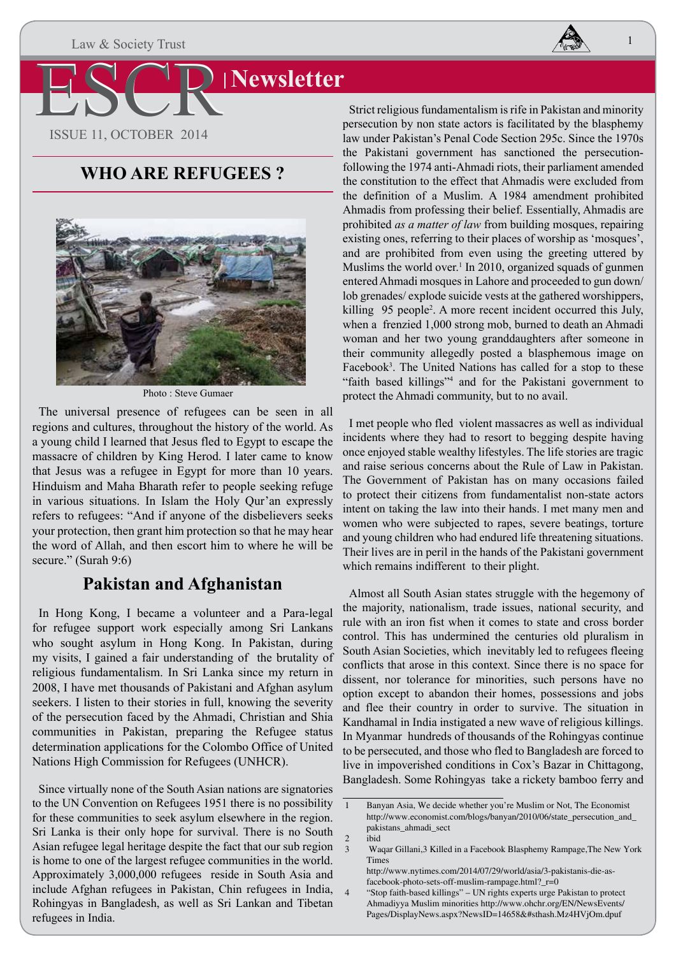Law & Society Trust



1

# **Newsletter**

ESCR ISSUE 11, OCTOBER 2014

### **WHO ARE REFUGEES ?**



Photo : Steve Gumaer

The universal presence of refugees can be seen in all regions and cultures, throughout the history of the world. As a young child I learned that Jesus fled to Egypt to escape the massacre of children by King Herod. I later came to know that Jesus was a refugee in Egypt for more than 10 years. Hinduism and Maha Bharath refer to people seeking refuge in various situations. In Islam the Holy Qur'an expressly refers to refugees: "And if anyone of the disbelievers seeks your protection, then grant him protection so that he may hear the word of Allah, and then escort him to where he will be secure." (Surah 9:6)

### **Pakistan and Afghanistan**

In Hong Kong, I became a volunteer and a Para-legal for refugee support work especially among Sri Lankans who sought asylum in Hong Kong. In Pakistan, during my visits, I gained a fair understanding of the brutality of religious fundamentalism. In Sri Lanka since my return in 2008, I have met thousands of Pakistani and Afghan asylum seekers. I listen to their stories in full, knowing the severity of the persecution faced by the Ahmadi, Christian and Shia communities in Pakistan, preparing the Refugee status determination applications for the Colombo Office of United Nations High Commission for Refugees (UNHCR).

Since virtually none of the South Asian nations are signatories to the UN Convention on Refugees 1951 there is no possibility for these communities to seek asylum elsewhere in the region. Sri Lanka is their only hope for survival. There is no South Asian refugee legal heritage despite the fact that our sub region is home to one of the largest refugee communities in the world. Approximately 3,000,000 refugees reside in South Asia and include Afghan refugees in Pakistan, Chin refugees in India, Rohingyas in Bangladesh, as well as Sri Lankan and Tibetan refugees in India.

Strict religious fundamentalism is rife in Pakistan and minority persecution by non state actors is facilitated by the blasphemy law under Pakistan's Penal Code Section 295c. Since the 1970s the Pakistani government has sanctioned the persecutionfollowing the 1974 anti-Ahmadi riots, their parliament amended the constitution to the effect that Ahmadis were excluded from the definition of a Muslim. A 1984 amendment prohibited Ahmadis from professing their belief. Essentially, Ahmadis are prohibited *as a matter of law* from building mosques, repairing existing ones, referring to their places of worship as 'mosques', and are prohibited from even using the greeting uttered by Muslims the world over. $\frac{1}{1}$  In 2010, organized squads of gunmen entered Ahmadi mosques in Lahore and proceeded to gun down/ lob grenades/ explode suicide vests at the gathered worshippers, killing 95 people<sup>2</sup>. A more recent incident occurred this July, when a frenzied 1,000 strong mob, burned to death an Ahmadi woman and her two young granddaughters after someone in their community allegedly posted a blasphemous image on Facebook<sup>3</sup>. The United Nations has called for a stop to these "faith based killings"4 and for the Pakistani government to protect the Ahmadi community, but to no avail.

I met people who fled violent massacres as well as individual incidents where they had to resort to begging despite having once enjoyed stable wealthy lifestyles. The life stories are tragic and raise serious concerns about the Rule of Law in Pakistan. The Government of Pakistan has on many occasions failed to protect their citizens from fundamentalist non-state actors intent on taking the law into their hands. I met many men and women who were subjected to rapes, severe beatings, torture and young children who had endured life threatening situations. Their lives are in peril in the hands of the Pakistani government which remains indifferent to their plight.

Almost all South Asian states struggle with the hegemony of the majority, nationalism, trade issues, national security, and rule with an iron fist when it comes to state and cross border control. This has undermined the centuries old pluralism in South Asian Societies, which inevitably led to refugees fleeing conflicts that arose in this context. Since there is no space for dissent, nor tolerance for minorities, such persons have no option except to abandon their homes, possessions and jobs and flee their country in order to survive. The situation in Kandhamal in India instigated a new wave of religious killings. In Myanmar hundreds of thousands of the Rohingyas continue to be persecuted, and those who fled to Bangladesh are forced to live in impoverished conditions in Cox's Bazar in Chittagong, Bangladesh. Some Rohingyas take a rickety bamboo ferry and

<sup>1</sup> Banyan Asia, We decide whether you're Muslim or Not, The Economist http://www.economist.com/blogs/banyan/2010/06/state\_persecution\_and\_ pakistans\_ahmadi\_sect

 $\frac{2}{3}$  ibid

<sup>3</sup> Waqar Gillani,3 Killed in a Facebook Blasphemy Rampage,The New York Times

http://www.nytimes.com/2014/07/29/world/asia/3-pakistanis-die-asfacebook-photo-sets-off-muslim-rampage.html?\_r=0

<sup>4</sup> "Stop faith-based killings" – UN rights experts urge Pakistan to protect Ahmadiyya Muslim minorities http://www.ohchr.org/EN/NewsEvents/ Pages/DisplayNews.aspx?NewsID=14658&#sthash.Mz4HVjOm.dpuf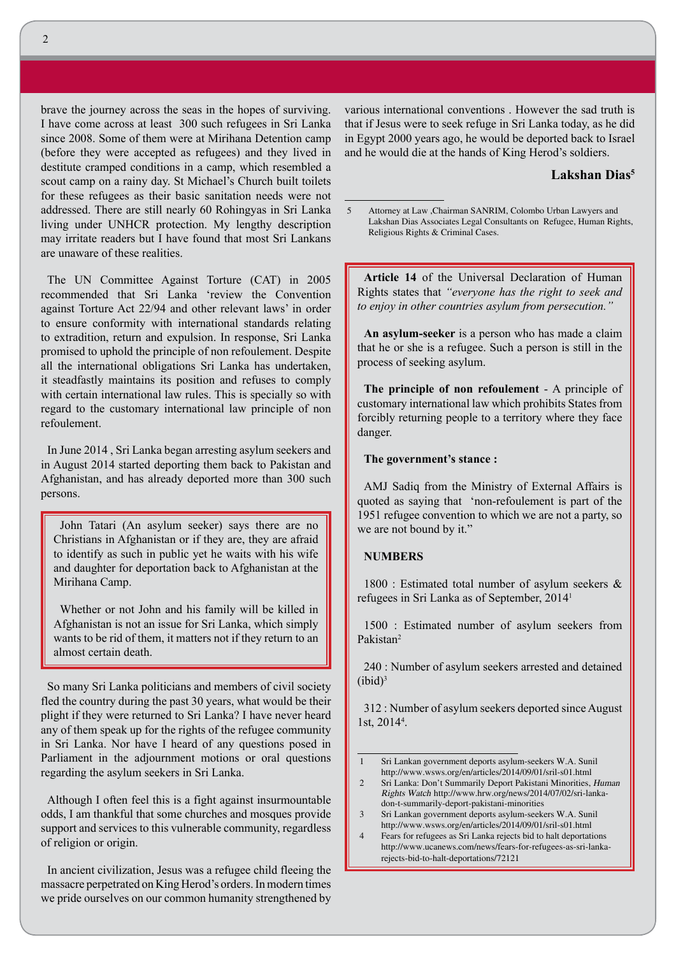brave the journey across the seas in the hopes of surviving. I have come across at least 300 such refugees in Sri Lanka since 2008. Some of them were at Mirihana Detention camp (before they were accepted as refugees) and they lived in destitute cramped conditions in a camp, which resembled a scout camp on a rainy day. St Michael's Church built toilets for these refugees as their basic sanitation needs were not addressed. There are still nearly 60 Rohingyas in Sri Lanka living under UNHCR protection. My lengthy description may irritate readers but I have found that most Sri Lankans are unaware of these realities.

The UN Committee Against Torture (CAT) in 2005 recommended that Sri Lanka 'review the Convention against Torture Act 22/94 and other relevant laws' in order to ensure conformity with international standards relating to extradition, return and expulsion. In response, Sri Lanka promised to uphold the principle of non refoulement. Despite all the international obligations Sri Lanka has undertaken, it steadfastly maintains its position and refuses to comply with certain international law rules. This is specially so with regard to the customary international law principle of non refoulement.

In June 2014 , Sri Lanka began arresting asylum seekers and in August 2014 started deporting them back to Pakistan and Afghanistan, and has already deported more than 300 such persons.

John Tatari (An asylum seeker) says there are no Christians in Afghanistan or if they are, they are afraid to identify as such in public yet he waits with his wife and daughter for deportation back to Afghanistan at the Mirihana Camp.

Whether or not John and his family will be killed in Afghanistan is not an issue for Sri Lanka, which simply wants to be rid of them, it matters not if they return to an almost certain death.

So many Sri Lanka politicians and members of civil society fled the country during the past 30 years, what would be their plight if they were returned to Sri Lanka? I have never heard any of them speak up for the rights of the refugee community in Sri Lanka. Nor have I heard of any questions posed in Parliament in the adjournment motions or oral questions regarding the asylum seekers in Sri Lanka.

Although I often feel this is a fight against insurmountable odds, I am thankful that some churches and mosques provide support and services to this vulnerable community, regardless of religion or origin.

In ancient civilization, Jesus was a refugee child fleeing the massacre perpetrated on King Herod's orders. In modern times we pride ourselves on our common humanity strengthened by various international conventions . However the sad truth is that if Jesus were to seek refuge in Sri Lanka today, as he did in Egypt 2000 years ago, he would be deported back to Israel and he would die at the hands of King Herod's soldiers.

#### **Lakshan Dias5**

5 Attorney at Law ,Chairman SANRIM, Colombo Urban Lawyers and Lakshan Dias Associates Legal Consultants on Refugee, Human Rights, Religious Rights & Criminal Cases.

**Article 14** of the Universal Declaration of Human Rights states that *"everyone has the right to seek and to enjoy in other countries asylum from persecution."* 

**An asylum-seeker** is a person who has made a claim that he or she is a refugee. Such a person is still in the process of seeking asylum.

**The principle of non refoulement** - A principle of customary international law which prohibits States from forcibly returning people to a territory where they face danger.

**The government's stance :** 

AMJ Sadiq from the Ministry of External Affairs is quoted as saying that 'non-refoulement is part of the 1951 refugee convention to which we are not a party, so we are not bound by it."

#### **NUMBERS**

1800 : Estimated total number of asylum seekers & refugees in Sri Lanka as of September, 20141

1500 : Estimated number of asylum seekers from Pakistan2

240 : Number of asylum seekers arrested and detained  $(ibid)<sup>3</sup>$ 

312 : Number of asylum seekers deported since August 1st, 20144 .

- 1 Sri Lankan government deports asylum-seekers W.A. Sunil http://www.wsws.org/en/articles/2014/09/01/sril-s01.html
- 2 Sri Lanka: Don't Summarily Deport Pakistani Minorities, Human Rights Watch http://www.hrw.org/news/2014/07/02/sri-lankadon-t-summarily-deport-pakistani-minorities
- 3 Sri Lankan government deports asylum-seekers W.A. Sunil http://www.wsws.org/en/articles/2014/09/01/sril-s01.html

4 Fears for refugees as Sri Lanka rejects bid to halt deportations http://www.ucanews.com/news/fears-for-refugees-as-sri-lankarejects-bid-to-halt-deportations/72121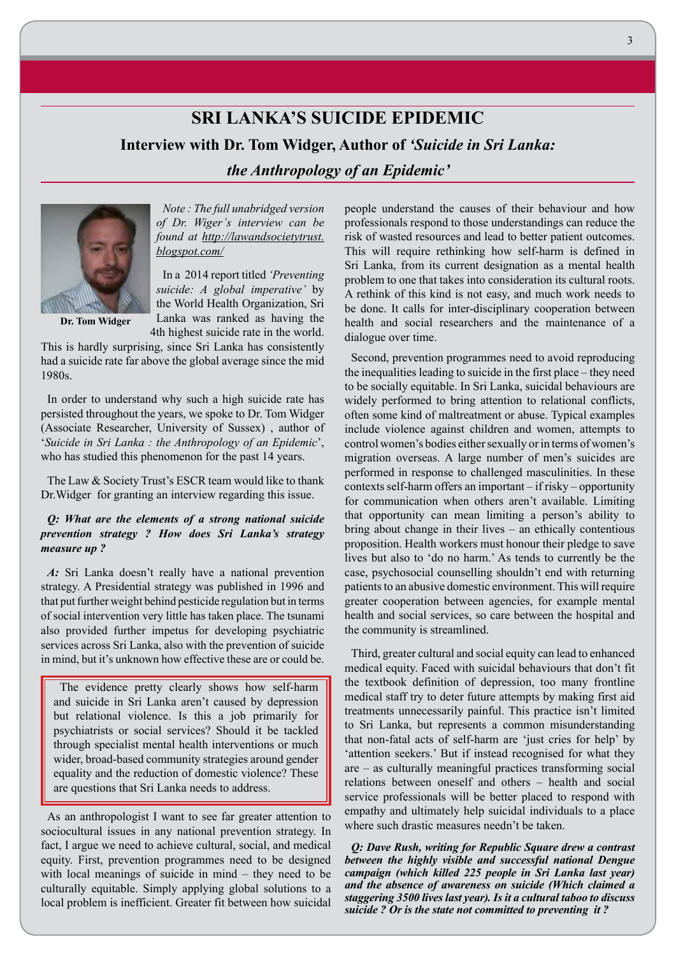## **SRI LANKA'S SUICIDE EPIDEMIC Interview with Dr. Tom Widger, Author of** *'Suicide in Sri Lanka:*

*the Anthropology of an Epidemic'*



**Dr. Tom Widger**

In a 2014 report titled *'Preventing suicide: A global imperative'* by the World Health Organization, Sri Lanka was ranked as having the 4th highest suicide rate in the world.

*Note : The full unabridged version of Dr. Wiger's interview can be found at http://lawandsocietytrust.*

This is hardly surprising, since Sri Lanka has consistently had a suicide rate far above the global average since the mid 1980s.

*blogspot.com/*

In order to understand why such a high suicide rate has persisted throughout the years, we spoke to Dr. Tom Widger (Associate Researcher, University of Sussex) , author of '*Suicide in Sri Lanka : the Anthropology of an Epidemic*', who has studied this phenomenon for the past 14 years.

The Law & Society Trust's ESCR team would like to thank Dr.Widger for granting an interview regarding this issue.

### *Q: What are the elements of a strong national suicide prevention strategy ? How does Sri Lanka's strategy measure up ?*

*A:* Sri Lanka doesn't really have a national prevention strategy. A Presidential strategy was published in 1996 and that put further weight behind pesticide regulation but in terms of social intervention very little has taken place. The tsunami also provided further impetus for developing psychiatric services across Sri Lanka, also with the prevention of suicide in mind, but it's unknown how effective these are or could be.

The evidence pretty clearly shows how self-harm and suicide in Sri Lanka aren't caused by depression but relational violence. Is this a job primarily for psychiatrists or social services? Should it be tackled through specialist mental health interventions or much wider, broad-based community strategies around gender equality and the reduction of domestic violence? These are questions that Sri Lanka needs to address.

As an anthropologist I want to see far greater attention to sociocultural issues in any national prevention strategy. In fact, I argue we need to achieve cultural, social, and medical equity. First, prevention programmes need to be designed with local meanings of suicide in mind – they need to be culturally equitable. Simply applying global solutions to a local problem is inefficient. Greater fit between how suicidal people understand the causes of their behaviour and how professionals respond to those understandings can reduce the risk of wasted resources and lead to better patient outcomes. This will require rethinking how self-harm is defined in Sri Lanka, from its current designation as a mental health problem to one that takes into consideration its cultural roots. A rethink of this kind is not easy, and much work needs to be done. It calls for inter-disciplinary cooperation between health and social researchers and the maintenance of a dialogue over time.

Second, prevention programmes need to avoid reproducing the inequalities leading to suicide in the first place – they need to be socially equitable. In Sri Lanka, suicidal behaviours are widely performed to bring attention to relational conflicts, often some kind of maltreatment or abuse. Typical examples include violence against children and women, attempts to control women's bodies either sexually or in terms of women's migration overseas. A large number of men's suicides are performed in response to challenged masculinities. In these contexts self-harm offers an important – if risky – opportunity for communication when others aren't available. Limiting that opportunity can mean limiting a person's ability to bring about change in their lives – an ethically contentious proposition. Health workers must honour their pledge to save lives but also to 'do no harm.' As tends to currently be the case, psychosocial counselling shouldn't end with returning patients to an abusive domestic environment. This will require greater cooperation between agencies, for example mental health and social services, so care between the hospital and the community is streamlined.

Third, greater cultural and social equity can lead to enhanced medical equity. Faced with suicidal behaviours that don't fit the textbook definition of depression, too many frontline medical staff try to deter future attempts by making first aid treatments unnecessarily painful. This practice isn't limited to Sri Lanka, but represents a common misunderstanding that non-fatal acts of self-harm are 'just cries for help' by 'attention seekers.' But if instead recognised for what they are – as culturally meaningful practices transforming social relations between oneself and others – health and social service professionals will be better placed to respond with empathy and ultimately help suicidal individuals to a place where such drastic measures needn't be taken.

*Q: Dave Rush, writing for Republic Square drew a contrast between the highly visible and successful national Dengue campaign (which killed 225 people in Sri Lanka last year) and the absence of awareness on suicide (Which claimed a staggering 3500 lives last year). Is it a cultural taboo to discuss suicide ? Or is the state not committed to preventing it ?*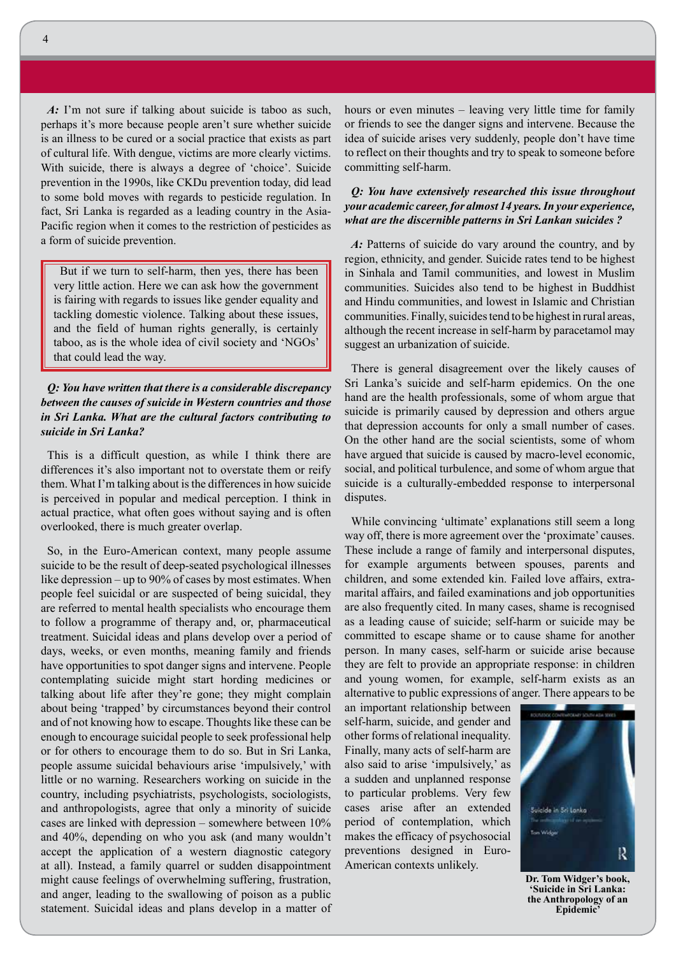*A:* I'm not sure if talking about suicide is taboo as such, perhaps it's more because people aren't sure whether suicide is an illness to be cured or a social practice that exists as part of cultural life. With dengue, victims are more clearly victims. With suicide, there is always a degree of 'choice'. Suicide prevention in the 1990s, like CKDu prevention today, did lead to some bold moves with regards to pesticide regulation. In fact, Sri Lanka is regarded as a leading country in the Asia-Pacific region when it comes to the restriction of pesticides as a form of suicide prevention.

But if we turn to self-harm, then yes, there has been very little action. Here we can ask how the government is fairing with regards to issues like gender equality and tackling domestic violence. Talking about these issues, and the field of human rights generally, is certainly taboo, as is the whole idea of civil society and 'NGOs' that could lead the way.

*Q: You have written that there is a considerable discrepancy between the causes of suicide in Western countries and those in Sri Lanka. What are the cultural factors contributing to suicide in Sri Lanka?*

This is a difficult question, as while I think there are differences it's also important not to overstate them or reify them. What I'm talking about is the differences in how suicide is perceived in popular and medical perception. I think in actual practice, what often goes without saying and is often overlooked, there is much greater overlap.

So, in the Euro-American context, many people assume suicide to be the result of deep-seated psychological illnesses like depression – up to 90% of cases by most estimates. When people feel suicidal or are suspected of being suicidal, they are referred to mental health specialists who encourage them to follow a programme of therapy and, or, pharmaceutical treatment. Suicidal ideas and plans develop over a period of days, weeks, or even months, meaning family and friends have opportunities to spot danger signs and intervene. People contemplating suicide might start hording medicines or talking about life after they're gone; they might complain about being 'trapped' by circumstances beyond their control and of not knowing how to escape. Thoughts like these can be enough to encourage suicidal people to seek professional help or for others to encourage them to do so. But in Sri Lanka, people assume suicidal behaviours arise 'impulsively,' with little or no warning. Researchers working on suicide in the country, including psychiatrists, psychologists, sociologists, and anthropologists, agree that only a minority of suicide cases are linked with depression – somewhere between 10% and 40%, depending on who you ask (and many wouldn't accept the application of a western diagnostic category at all). Instead, a family quarrel or sudden disappointment might cause feelings of overwhelming suffering, frustration, and anger, leading to the swallowing of poison as a public statement. Suicidal ideas and plans develop in a matter of hours or even minutes – leaving very little time for family or friends to see the danger signs and intervene. Because the idea of suicide arises very suddenly, people don't have time to reflect on their thoughts and try to speak to someone before committing self-harm.

### *Q: You have extensively researched this issue throughout your academic career, for almost 14 years. In your experience, what are the discernible patterns in Sri Lankan suicides ?*

A: Patterns of suicide do vary around the country, and by region, ethnicity, and gender. Suicide rates tend to be highest in Sinhala and Tamil communities, and lowest in Muslim communities. Suicides also tend to be highest in Buddhist and Hindu communities, and lowest in Islamic and Christian communities. Finally, suicides tend to be highest in rural areas, although the recent increase in self-harm by paracetamol may suggest an urbanization of suicide.

There is general disagreement over the likely causes of Sri Lanka's suicide and self-harm epidemics. On the one hand are the health professionals, some of whom argue that suicide is primarily caused by depression and others argue that depression accounts for only a small number of cases. On the other hand are the social scientists, some of whom have argued that suicide is caused by macro-level economic, social, and political turbulence, and some of whom argue that suicide is a culturally-embedded response to interpersonal disputes.

While convincing 'ultimate' explanations still seem a long way off, there is more agreement over the 'proximate' causes. These include a range of family and interpersonal disputes, for example arguments between spouses, parents and children, and some extended kin. Failed love affairs, extramarital affairs, and failed examinations and job opportunities are also frequently cited. In many cases, shame is recognised as a leading cause of suicide; self-harm or suicide may be committed to escape shame or to cause shame for another person. In many cases, self-harm or suicide arise because they are felt to provide an appropriate response: in children and young women, for example, self-harm exists as an alternative to public expressions of anger. There appears to be

an important relationship between self-harm, suicide, and gender and other forms of relational inequality. Finally, many acts of self-harm are also said to arise 'impulsively,' as a sudden and unplanned response to particular problems. Very few cases arise after an extended period of contemplation, which makes the efficacy of psychosocial preventions designed in Euro-American contexts unlikely.



**Dr. Tom Widger's book, 'Suicide in Sri Lanka: the Anthropology of an Epidemic'**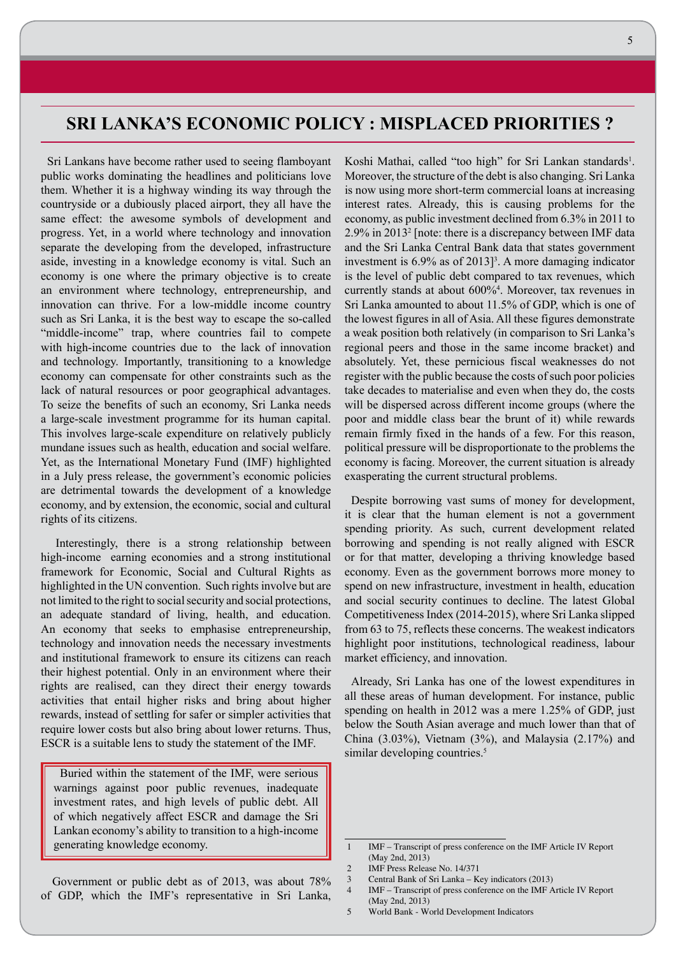### **SRI LANKA'S ECONOMIC POLICY : MISPLACED PRIORITIES ?**

Sri Lankans have become rather used to seeing flamboyant public works dominating the headlines and politicians love them. Whether it is a highway winding its way through the countryside or a dubiously placed airport, they all have the same effect: the awesome symbols of development and progress. Yet, in a world where technology and innovation separate the developing from the developed, infrastructure aside, investing in a knowledge economy is vital. Such an economy is one where the primary objective is to create an environment where technology, entrepreneurship, and innovation can thrive. For a low-middle income country such as Sri Lanka, it is the best way to escape the so-called "middle-income" trap, where countries fail to compete with high-income countries due to the lack of innovation and technology. Importantly, transitioning to a knowledge economy can compensate for other constraints such as the lack of natural resources or poor geographical advantages. To seize the benefits of such an economy, Sri Lanka needs a large-scale investment programme for its human capital. This involves large-scale expenditure on relatively publicly mundane issues such as health, education and social welfare. Yet, as the International Monetary Fund (IMF) highlighted in a July press release, the government's economic policies are detrimental towards the development of a knowledge economy, and by extension, the economic, social and cultural rights of its citizens.

 Interestingly, there is a strong relationship between high-income earning economies and a strong institutional framework for Economic, Social and Cultural Rights as highlighted in the UN convention. Such rights involve but are not limited to the right to social security and social protections, an adequate standard of living, health, and education. An economy that seeks to emphasise entrepreneurship, technology and innovation needs the necessary investments and institutional framework to ensure its citizens can reach their highest potential. Only in an environment where their rights are realised, can they direct their energy towards activities that entail higher risks and bring about higher rewards, instead of settling for safer or simpler activities that require lower costs but also bring about lower returns. Thus, ESCR is a suitable lens to study the statement of the IMF.

Buried within the statement of the IMF, were serious warnings against poor public revenues, inadequate investment rates, and high levels of public debt. All of which negatively affect ESCR and damage the Sri Lankan economy's ability to transition to a high-income generating knowledge economy.

 Government or public debt as of 2013, was about 78% of GDP, which the IMF's representative in Sri Lanka, Koshi Mathai, called "too high" for Sri Lankan standards<sup>1</sup>. Moreover, the structure of the debt is also changing. Sri Lanka is now using more short-term commercial loans at increasing interest rates. Already, this is causing problems for the economy, as public investment declined from 6.3% in 2011 to 2.9% in 20132 [note: there is a discrepancy between IMF data and the Sri Lanka Central Bank data that states government investment is  $6.9\%$  as of  $2013$ <sup>3</sup>. A more damaging indicator is the level of public debt compared to tax revenues, which currently stands at about 600%4 . Moreover, tax revenues in Sri Lanka amounted to about 11.5% of GDP, which is one of the lowest figures in all of Asia. All these figures demonstrate a weak position both relatively (in comparison to Sri Lanka's regional peers and those in the same income bracket) and absolutely. Yet, these pernicious fiscal weaknesses do not register with the public because the costs of such poor policies take decades to materialise and even when they do, the costs will be dispersed across different income groups (where the poor and middle class bear the brunt of it) while rewards remain firmly fixed in the hands of a few. For this reason, political pressure will be disproportionate to the problems the economy is facing. Moreover, the current situation is already exasperating the current structural problems.

Despite borrowing vast sums of money for development, it is clear that the human element is not a government spending priority. As such, current development related borrowing and spending is not really aligned with ESCR or for that matter, developing a thriving knowledge based economy. Even as the government borrows more money to spend on new infrastructure, investment in health, education and social security continues to decline. The latest Global Competitiveness Index (2014-2015), where Sri Lanka slipped from 63 to 75, reflects these concerns. The weakest indicators highlight poor institutions, technological readiness, labour market efficiency, and innovation.

Already, Sri Lanka has one of the lowest expenditures in all these areas of human development. For instance, public spending on health in 2012 was a mere 1.25% of GDP, just below the South Asian average and much lower than that of China (3.03%), Vietnam (3%), and Malaysia (2.17%) and similar developing countries.<sup>5</sup>

<sup>1</sup> IMF – Transcript of press conference on the IMF Article IV Report (May 2nd, 2013)

<sup>2</sup> IMF Press Release No. 14/371

<sup>3</sup> Central Bank of Sri Lanka – Key indicators (2013)

<sup>4</sup> IMF – Transcript of press conference on the IMF Article IV Report (May 2nd, 2013)

<sup>5</sup> World Bank - World Development Indicators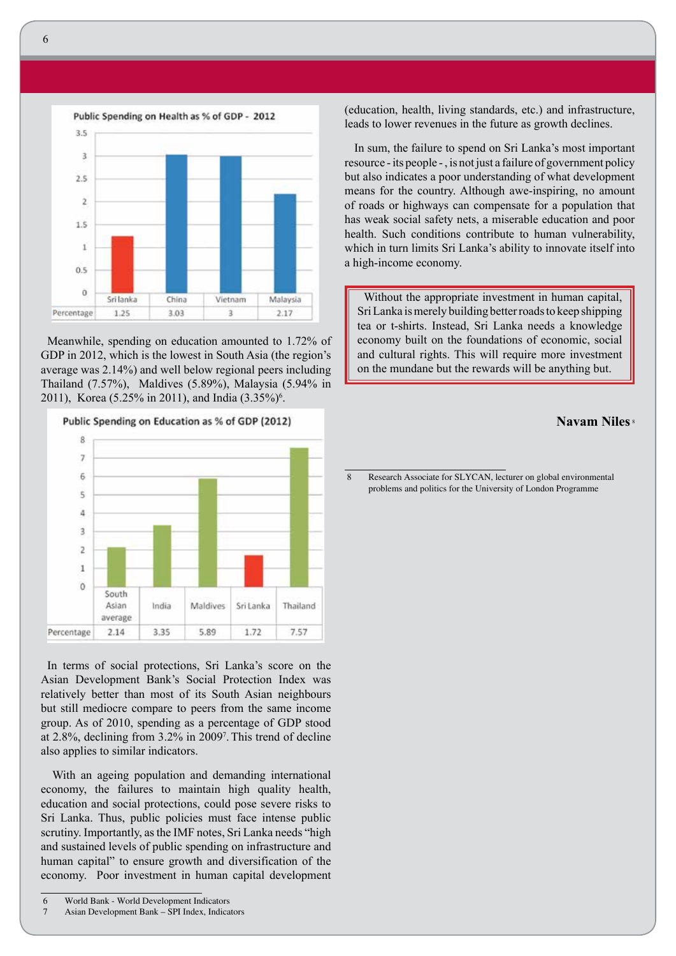

Meanwhile, spending on education amounted to 1.72% of GDP in 2012, which is the lowest in South Asia (the region's average was 2.14%) and well below regional peers including Thailand (7.57%), Maldives (5.89%), Malaysia (5.94% in 2011), Korea (5.25% in 2011), and India  $(3.35\%)^6$ .



In terms of social protections, Sri Lanka's score on the Asian Development Bank's Social Protection Index was relatively better than most of its South Asian neighbours but still mediocre compare to peers from the same income group. As of 2010, spending as a percentage of GDP stood at 2.8%, declining from 3.2% in 20097 .This trend of decline also applies to similar indicators.

 With an ageing population and demanding international economy, the failures to maintain high quality health, education and social protections, could pose severe risks to Sri Lanka. Thus, public policies must face intense public scrutiny. Importantly, as the IMF notes, Sri Lanka needs "high and sustained levels of public spending on infrastructure and human capital" to ensure growth and diversification of the economy. Poor investment in human capital development

6 World Bank - World Development Indicators

7 Asian Development Bank – SPI Index, Indicators

(education, health, living standards, etc.) and infrastructure, leads to lower revenues in the future as growth declines.

 In sum, the failure to spend on Sri Lanka's most important resource - its people - , is not just a failure of government policy but also indicates a poor understanding of what development means for the country. Although awe-inspiring, no amount of roads or highways can compensate for a population that has weak social safety nets, a miserable education and poor health. Such conditions contribute to human vulnerability, which in turn limits Sri Lanka's ability to innovate itself into a high-income economy.

Without the appropriate investment in human capital, Sri Lanka is merely building better roads to keep shipping tea or t-shirts. Instead, Sri Lanka needs a knowledge economy built on the foundations of economic, social and cultural rights. This will require more investment on the mundane but the rewards will be anything but.

### **Navam Niles** <sup>8</sup>

8 Research Associate for SLYCAN, lecturer on global environmental problems and politics for the University of London Programme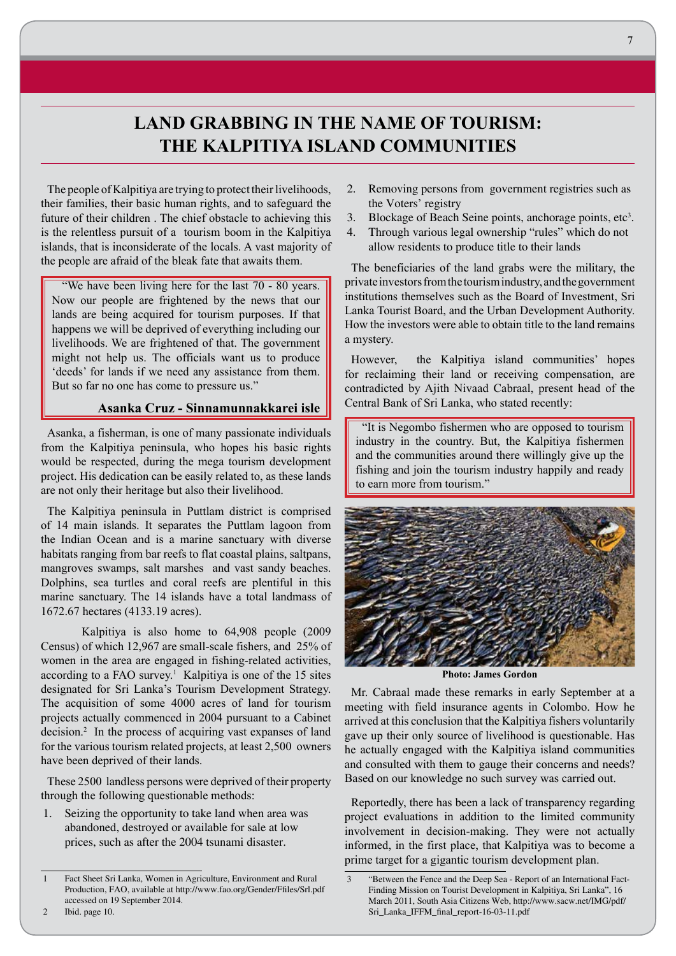## **LAND GRABBING IN THE NAME OF TOURISM: THE KALPITIYA ISLAND COMMUNITIES**

The people of Kalpitiya are trying to protect their livelihoods, their families, their basic human rights, and to safeguard the future of their children . The chief obstacle to achieving this is the relentless pursuit of a tourism boom in the Kalpitiya islands, that is inconsiderate of the locals. A vast majority of the people are afraid of the bleak fate that awaits them.

 "We have been living here for the last 70 - 80 years. Now our people are frightened by the news that our lands are being acquired for tourism purposes. If that happens we will be deprived of everything including our livelihoods. We are frightened of that. The government might not help us. The officials want us to produce 'deeds' for lands if we need any assistance from them. But so far no one has come to pressure us."

### **Asanka Cruz - Sinnamunnakkarei isle**

Asanka, a fisherman, is one of many passionate individuals from the Kalpitiya peninsula, who hopes his basic rights would be respected, during the mega tourism development project. His dedication can be easily related to, as these lands are not only their heritage but also their livelihood.

The Kalpitiya peninsula in Puttlam district is comprised of 14 main islands. It separates the Puttlam lagoon from the Indian Ocean and is a marine sanctuary with diverse habitats ranging from bar reefs to flat coastal plains, saltpans, mangroves swamps, salt marshes and vast sandy beaches. Dolphins, sea turtles and coral reefs are plentiful in this marine sanctuary. The 14 islands have a total landmass of 1672.67 hectares (4133.19 acres).

Kalpitiya is also home to 64,908 people (2009 Census) of which 12,967 are small-scale fishers, and 25% of women in the area are engaged in fishing-related activities, according to a FAO survey.<sup>1</sup> Kalpitiya is one of the 15 sites designated for Sri Lanka's Tourism Development Strategy. The acquisition of some 4000 acres of land for tourism projects actually commenced in 2004 pursuant to a Cabinet decision.<sup>2</sup> In the process of acquiring vast expanses of land for the various tourism related projects, at least 2,500 owners have been deprived of their lands.

These 2500 landless persons were deprived of their property through the following questionable methods:

1. Seizing the opportunity to take land when area was abandoned, destroyed or available for sale at low prices, such as after the 2004 tsunami disaster.

- 2. Removing persons from government registries such as the Voters' registry
- 3. Blockage of Beach Seine points, anchorage points, etc<sup>3</sup>.
- 4. Through various legal ownership "rules" which do not allow residents to produce title to their lands

The beneficiaries of the land grabs were the military, the private investors from the tourism industry, and the government institutions themselves such as the Board of Investment, Sri Lanka Tourist Board, and the Urban Development Authority. How the investors were able to obtain title to the land remains a mystery.

However, the Kalpitiya island communities' hopes for reclaiming their land or receiving compensation, are contradicted by Ajith Nivaad Cabraal, present head of the Central Bank of Sri Lanka, who stated recently:

"It is Negombo fishermen who are opposed to tourism industry in the country. But, the Kalpitiya fishermen and the communities around there willingly give up the fishing and join the tourism industry happily and ready to earn more from tourism."



**Photo: James Gordon**

Mr. Cabraal made these remarks in early September at a meeting with field insurance agents in Colombo. How he arrived at this conclusion that the Kalpitiya fishers voluntarily gave up their only source of livelihood is questionable. Has he actually engaged with the Kalpitiya island communities and consulted with them to gauge their concerns and needs? Based on our knowledge no such survey was carried out.

Reportedly, there has been a lack of transparency regarding project evaluations in addition to the limited community involvement in decision-making. They were not actually informed, in the first place, that Kalpitiya was to become a prime target for a gigantic tourism development plan.

<sup>1</sup> Fact Sheet Sri Lanka, Women in Agriculture, Environment and Rural Production, FAO, available at http://www.fao.org/Gender/Ffiles/Srl.pdf accessed on 19 September 2014.

<sup>&</sup>quot;Between the Fence and the Deep Sea - Report of an International Fact-Finding Mission on Tourist Development in Kalpitiya, Sri Lanka", 16 March 2011, South Asia Citizens Web, http://www.sacw.net/IMG/pdf/ Sri\_Lanka\_IFFM\_final\_report-16-03-11.pdf

<sup>2</sup> Ibid. page 10.